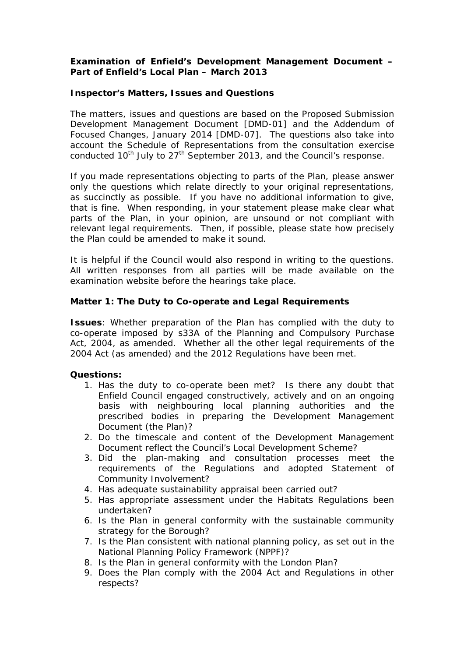## **Examination of Enfield's Development Management Document – Part of Enfield's Local Plan – March 2013**

#### **Inspector's Matters, Issues and Questions**

The matters, issues and questions are based on the Proposed Submission Development Management Document [DMD-01] and the Addendum of Focused Changes, January 2014 [DMD-07]. The questions also take into account the Schedule of Representations from the consultation exercise conducted 10<sup>th</sup> July to 27<sup>th</sup> September 2013, and the Council's response.

If you made representations objecting to parts of the Plan, please answer only the questions which relate directly to your original representations, as succinctly as possible. If you have no additional information to give, that is fine. When responding, in your statement please make clear what parts of the Plan, in your opinion, are unsound or not compliant with relevant legal requirements. Then, if possible, please state how precisely the Plan could be amended to make it sound.

It is helpful if the Council would also respond in writing to the questions. All written responses from all parties will be made available on the examination website before the hearings take place.

#### **Matter 1: The Duty to Co-operate and Legal Requirements**

**Issues**: Whether preparation of the Plan has complied with the duty to co-operate imposed by s33A of the Planning and Compulsory Purchase Act, 2004, as amended. Whether all the other legal requirements of the 2004 Act (as amended) and the 2012 Regulations have been met.

- 1. Has the duty to co-operate been met? Is there any doubt that Enfield Council engaged constructively, actively and on an ongoing basis with neighbouring local planning authorities and the prescribed bodies in preparing the Development Management Document (the Plan)?
- 2. Do the timescale and content of the Development Management Document reflect the Council's Local Development Scheme?
- 3. Did the plan-making and consultation processes meet the requirements of the Regulations and adopted Statement of Community Involvement?
- 4. Has adequate sustainability appraisal been carried out?
- 5. Has appropriate assessment under the Habitats Regulations been undertaken?
- 6. Is the Plan in general conformity with the sustainable community strategy for the Borough?
- 7. Is the Plan consistent with national planning policy, as set out in the National Planning Policy Framework (NPPF)?
- 8. Is the Plan in general conformity with the London Plan?
- 9. Does the Plan comply with the 2004 Act and Regulations in other respects?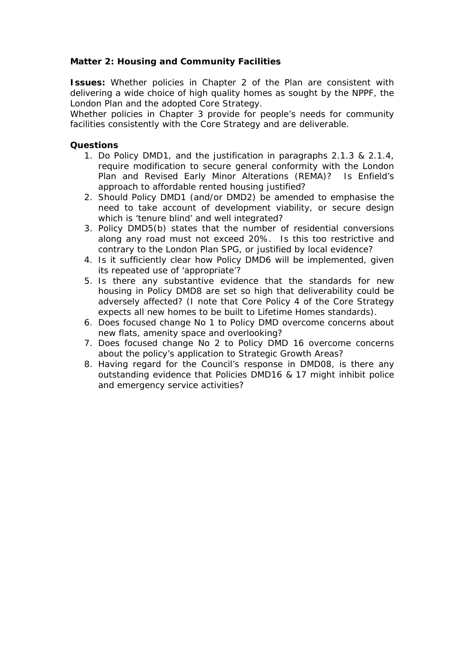# **Matter 2: Housing and Community Facilities**

**Issues:** Whether policies in Chapter 2 of the Plan are consistent with delivering a wide choice of high quality homes as sought by the NPPF, the London Plan and the adopted Core Strategy.

Whether policies in Chapter 3 provide for people's needs for community facilities consistently with the Core Strategy and are deliverable.

- 1. Do Policy DMD1, and the justification in paragraphs 2.1.3 & 2.1.4, require modification to secure general conformity with the London Plan and Revised Early Minor Alterations (REMA)? Is Enfield's approach to affordable rented housing justified?
- 2. Should Policy DMD1 (and/or DMD2) be amended to emphasise the need to take account of development viability, or secure design which is 'tenure blind' and well integrated?
- 3. Policy DMD5(b) states that the number of residential conversions along any road must not exceed 20%. Is this too restrictive and contrary to the London Plan SPG, or justified by local evidence?
- 4. Is it sufficiently clear how Policy DMD6 will be implemented, given its repeated use of 'appropriate'?
- 5. Is there any substantive evidence that the standards for new housing in Policy DMD8 are set so high that deliverability could be adversely affected? (I note that Core Policy 4 of the Core Strategy expects all new homes to be built to Lifetime Homes standards).
- 6. Does focused change No 1 to Policy DMD overcome concerns about new flats, amenity space and overlooking?
- 7. Does focused change No 2 to Policy DMD 16 overcome concerns about the policy's application to Strategic Growth Areas?
- 8. Having regard for the Council's response in DMD08, is there any outstanding evidence that Policies DMD16 & 17 might inhibit police and emergency service activities?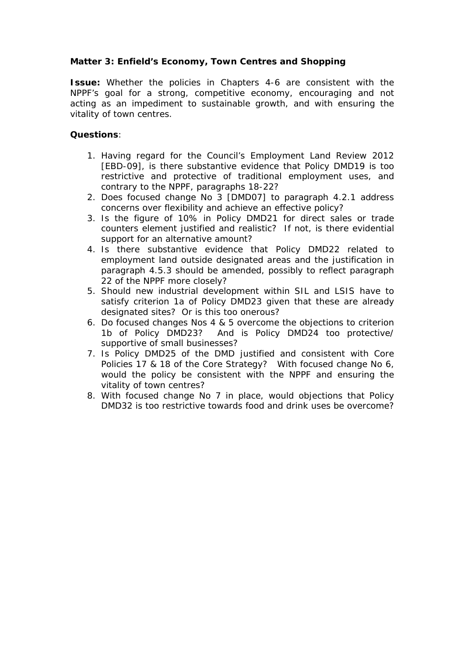# **Matter 3: Enfield's Economy, Town Centres and Shopping**

**Issue:** Whether the policies in Chapters 4-6 are consistent with the NPPF's goal for a strong, competitive economy, encouraging and not acting as an impediment to sustainable growth, and with ensuring the vitality of town centres.

- 1. Having regard for the Council's Employment Land Review 2012 [EBD-09], is there substantive evidence that Policy DMD19 is too restrictive and protective of traditional employment uses, and contrary to the NPPF, paragraphs 18-22?
- 2. Does focused change No 3 [DMD07] to paragraph 4.2.1 address concerns over flexibility and achieve an effective policy?
- 3. Is the figure of 10% in Policy DMD21 for direct sales or trade counters element justified and realistic? If not, is there evidential support for an alternative amount?
- 4. Is there substantive evidence that Policy DMD22 related to employment land outside designated areas and the justification in paragraph 4.5.3 should be amended, possibly to reflect paragraph 22 of the NPPF more closely?
- 5. Should new industrial development within SIL and LSIS have to satisfy criterion 1a of Policy DMD23 given that these are already designated sites? Or is this too onerous?
- 6. Do focused changes Nos 4 & 5 overcome the objections to criterion 1b of Policy DMD23? And is Policy DMD24 too protective/ supportive of small businesses?
- 7. Is Policy DMD25 of the DMD justified and consistent with Core Policies 17 & 18 of the Core Strategy? With focused change No 6, would the policy be consistent with the NPPF and ensuring the vitality of town centres?
- 8. With focused change No 7 in place, would objections that Policy DMD32 is too restrictive towards food and drink uses be overcome?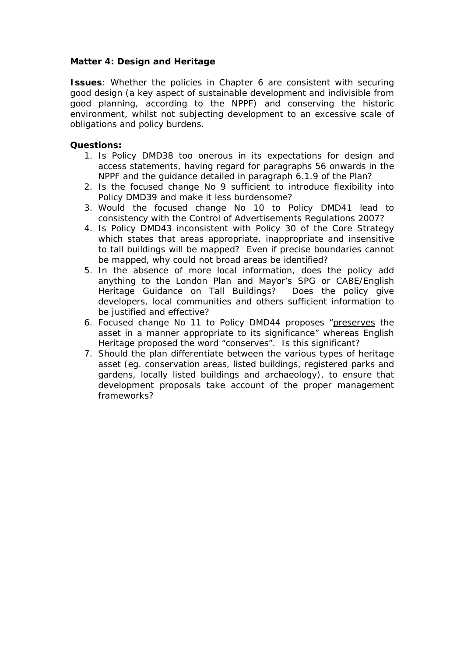## **Matter 4: Design and Heritage**

**Issues**: Whether the policies in Chapter 6 are consistent with securing good design (a key aspect of sustainable development and indivisible from good planning, according to the NPPF) and conserving the historic environment, whilst not subjecting development to an excessive scale of obligations and policy burdens.

- 1. Is Policy DMD38 too onerous in its expectations for design and access statements, having regard for paragraphs 56 onwards in the NPPF and the guidance detailed in paragraph 6.1.9 of the Plan?
- 2. Is the focused change No 9 sufficient to introduce flexibility into Policy DMD39 and make it less burdensome?
- 3. Would the focused change No 10 to Policy DMD41 lead to consistency with the Control of Advertisements Regulations 2007?
- 4. Is Policy DMD43 inconsistent with Policy 30 of the Core Strategy which states that areas appropriate, inappropriate and insensitive to tall buildings will be mapped? Even if precise boundaries cannot be mapped, why could not broad areas be identified?
- 5. In the absence of more local information, does the policy add anything to the London Plan and Mayor's SPG or CABE/English Heritage Guidance on Tall Buildings? Does the policy give developers, local communities and others sufficient information to be justified and effective?
- 6. Focused change No 11 to Policy DMD44 proposes "preserves the asset in a manner appropriate to its significance" whereas English Heritage proposed the word "conserves". Is this significant?
- 7. Should the plan differentiate between the various types of heritage asset (eg. conservation areas, listed buildings, registered parks and gardens, locally listed buildings and archaeology), to ensure that development proposals take account of the proper management frameworks?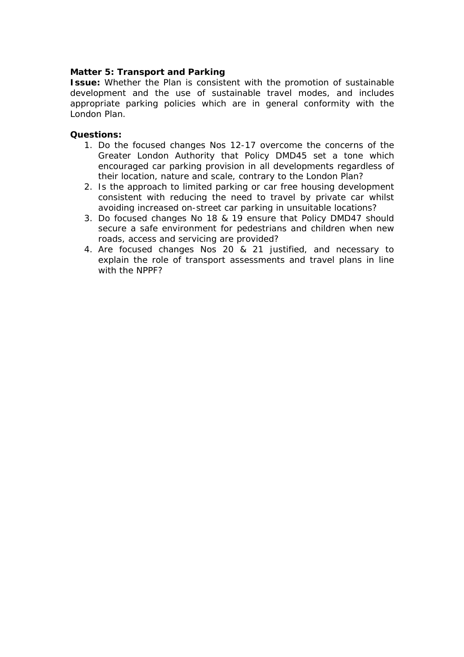## **Matter 5: Transport and Parking**

**Issue:** Whether the Plan is consistent with the promotion of sustainable development and the use of sustainable travel modes, and includes appropriate parking policies which are in general conformity with the London Plan.

- 1. Do the focused changes Nos 12-17 overcome the concerns of the Greater London Authority that Policy DMD45 set a tone which encouraged car parking provision in all developments regardless of their location, nature and scale, contrary to the London Plan?
- 2. Is the approach to limited parking or car free housing development consistent with reducing the need to travel by private car whilst avoiding increased on-street car parking in unsuitable locations?
- 3. Do focused changes No 18 & 19 ensure that Policy DMD47 should secure a safe environment for pedestrians and children when new roads, access and servicing are provided?
- 4. Are focused changes Nos 20 & 21 justified, and necessary to explain the role of transport assessments and travel plans in line with the NPPF?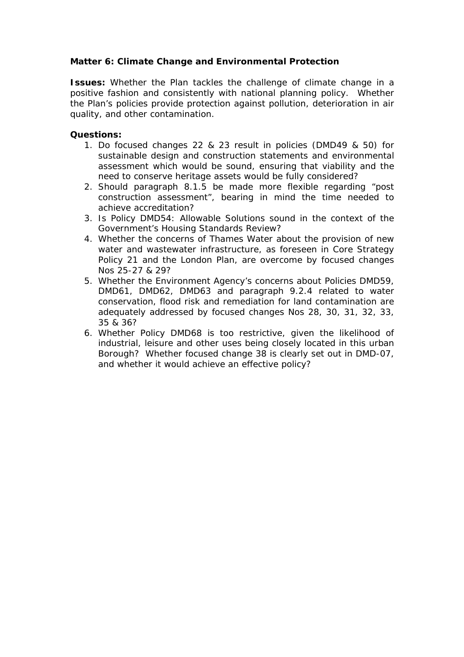# **Matter 6: Climate Change and Environmental Protection**

**Issues:** Whether the Plan tackles the challenge of climate change in a positive fashion and consistently with national planning policy. Whether the Plan's policies provide protection against pollution, deterioration in air quality, and other contamination.

- 1. Do focused changes 22 & 23 result in policies (DMD49 & 50) for sustainable design and construction statements and environmental assessment which would be sound, ensuring that viability and the need to conserve heritage assets would be fully considered?
- 2. Should paragraph 8.1.5 be made more flexible regarding "post construction assessment", bearing in mind the time needed to achieve accreditation?
- 3. Is Policy DMD54: Allowable Solutions sound in the context of the Government's Housing Standards Review?
- 4. Whether the concerns of Thames Water about the provision of new water and wastewater infrastructure, as foreseen in Core Strategy Policy 21 and the London Plan, are overcome by focused changes Nos 25-27 & 29?
- 5. Whether the Environment Agency's concerns about Policies DMD59, DMD61, DMD62, DMD63 and paragraph 9.2.4 related to water conservation, flood risk and remediation for land contamination are adequately addressed by focused changes Nos 28, 30, 31, 32, 33, 35 & 36?
- 6. Whether Policy DMD68 is too restrictive, given the likelihood of industrial, leisure and other uses being closely located in this urban Borough? Whether focused change 38 is clearly set out in DMD-07, and whether it would achieve an effective policy?